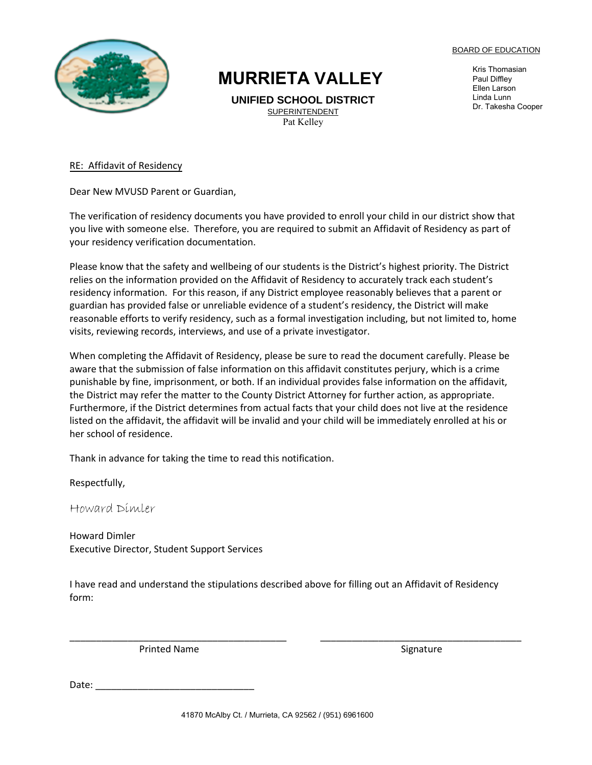

## **MURRIETA VALLEY**

**UNIFIED SCHOOL DISTRICT** SUPERINTENDENT Pat Kelley

BOARD OF EDUCATION

Kris Thomasian Paul Diffley Ellen Larson Linda Lunn Dr. Takesha Cooper

RE: Affidavit of Residency

Dear New MVUSD Parent or Guardian,

The verification of residency documents you have provided to enroll your child in our district show that you live with someone else. Therefore, you are required to submit an Affidavit of Residency as part of your residency verification documentation.

Please know that the safety and wellbeing of our students is the District's highest priority. The District relies on the information provided on the Affidavit of Residency to accurately track each student's residency information. For this reason, if any District employee reasonably believes that a parent or guardian has provided false or unreliable evidence of a student's residency, the District will make reasonable efforts to verify residency, such as a formal investigation including, but not limited to, home visits, reviewing records, interviews, and use of a private investigator.

When completing the Affidavit of Residency, please be sure to read the document carefully. Please be aware that the submission of false information on this affidavit constitutes perjury, which is a crime punishable by fine, imprisonment, or both. If an individual provides false information on the affidavit, the District may refer the matter to the County District Attorney for further action, as appropriate. Furthermore, if the District determines from actual facts that your child does not live at the residence listed on the affidavit, the affidavit will be invalid and your child will be immediately enrolled at his or her school of residence.

Thank in advance for taking the time to read this notification.

Respectfully,

Howard Dimler

Howard Dimler Executive Director, Student Support Services

I have read and understand the stipulations described above for filling out an Affidavit of Residency form:

\_\_\_\_\_\_\_\_\_\_\_\_\_\_\_\_\_\_\_\_\_\_\_\_\_\_\_\_\_\_\_\_\_\_\_\_\_\_\_\_\_ \_\_\_\_\_\_\_\_\_\_\_\_\_\_\_\_\_\_\_\_\_\_\_\_\_\_\_\_\_\_\_\_\_\_\_\_\_\_

Printed Name Signature Signature

Date:  $\overline{\phantom{a}}$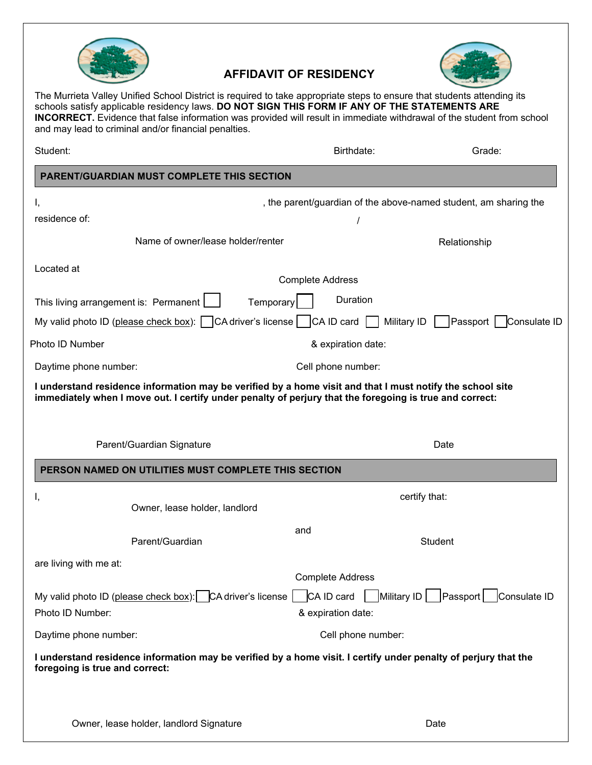

## **AFFIDAVIT OF RESIDENCY**



The Murrieta Valley Unified School District is required to take appropriate steps to ensure that students attending its schools satisfy applicable residency laws. **DO NOT SIGN THIS FORM IF ANY OF THE STATEMENTS ARE INCORRECT.** Evidence that false information was provided will result in immediate withdrawal of the student from school and may lead to criminal and/or financial penalties.

| Student:                                                                        |                                                      |                         | Birthdate:                       | Grade:                                                                                                          |  |
|---------------------------------------------------------------------------------|------------------------------------------------------|-------------------------|----------------------------------|-----------------------------------------------------------------------------------------------------------------|--|
| <b>PARENT/GUARDIAN MUST COMPLETE THIS SECTION</b>                               |                                                      |                         |                                  |                                                                                                                 |  |
| Ι,                                                                              |                                                      |                         |                                  | , the parent/guardian of the above-named student, am sharing the                                                |  |
| residence of:                                                                   |                                                      |                         |                                  |                                                                                                                 |  |
|                                                                                 | Name of owner/lease holder/renter                    |                         |                                  | Relationship                                                                                                    |  |
| Located at                                                                      |                                                      | <b>Complete Address</b> |                                  |                                                                                                                 |  |
| This living arrangement is: Permanent [                                         |                                                      | Temporary               | Duration                         |                                                                                                                 |  |
| My valid photo ID (please check box): $\Box$ CA driver's license $\Box$         |                                                      |                         | CA ID card   Military ID         | Passport   Consulate ID                                                                                         |  |
| Photo ID Number                                                                 |                                                      |                         | & expiration date:               |                                                                                                                 |  |
| Daytime phone number:                                                           |                                                      |                         | Cell phone number:               |                                                                                                                 |  |
|                                                                                 | Parent/Guardian Signature                            |                         |                                  | Date                                                                                                            |  |
|                                                                                 | PERSON NAMED ON UTILITIES MUST COMPLETE THIS SECTION |                         |                                  |                                                                                                                 |  |
| Ι,                                                                              | Owner, lease holder, landlord                        |                         |                                  | certify that:                                                                                                   |  |
|                                                                                 | Parent/Guardian                                      | and                     |                                  | <b>Student</b>                                                                                                  |  |
| are living with me at:                                                          |                                                      |                         | <b>Complete Address</b>          |                                                                                                                 |  |
| My valid photo ID (please check box): CA driver's license  <br>Photo ID Number: |                                                      |                         | CA ID card<br>& expiration date: | Military ID   Passport  <br>Consulate ID                                                                        |  |
| Daytime phone number:                                                           |                                                      |                         | Cell phone number:               |                                                                                                                 |  |
| foregoing is true and correct:                                                  |                                                      |                         |                                  | I understand residence information may be verified by a home visit. I certify under penalty of perjury that the |  |
|                                                                                 | Owner, lease holder, landlord Signature              |                         |                                  | Date                                                                                                            |  |